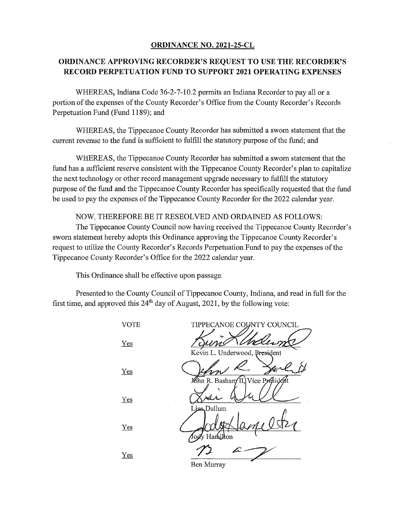## ORDINANCE NO. 2021-25-CL

## ORDINANCE APPROVING RECORDER'S REQUEST TO USE THE RECORDER'S **RECORD PERPETUATION FUND TO SUPPORT 2021 OPERATING EXPENSES**

WHEREAS, Indiana Code 36-2-7-10.2 permits an Indiana Recorder to pay all or a portion of the expenses of the County Recorder's Office from the County Recorder's Records Perpetuation Fund (Fund 1189); and

WHEREAS, the Tippecanoe County Recorder has submitted a sworn statement that the current revenue to the fund is sufficient to fulfill the statutory purpose of the fund; and

WHEREAS, the Tippecanoe County Recorder has submitted a sworn statement that the fund has a sufficient reserve consistent with the Tippecanoe County Recorder's plan to capitalize the next technology or other record management upgrade necessary to fulfill the statutory purpose of the fund and the Tippecanoe County Recorder has specifically requested that the fund be used to pay the expenses of the Tippecanoe County Recorder for the 2022 calendar year.

NOW, THEREFORE BE IT RESEOLVED AND ORDAINED AS FOLLOWS:

The Tippecanoe County Council now having received the Tippecanoe County Recorder's sworn statement hereby adopts this Ordinance approving the Tippecanoe County Recorder's request to utilize the County Recorder's Records Perpetuation Fund to pay the expenses of the Tippecanoe County Recorder's Office for the 2022 calendar year.

This Ordinance shall be effective upon passage.

Presented to the County Council of Tippecanoe County, Indiana, and read in full for the first time, and approved this  $24<sup>th</sup>$  day of August, 2021, by the following vote:

**VOTE** TIPPECANOE COUNTY COUNCIL Yes Kevin L. Underwood, President Yes hn R. Bashan⁄II,}Vice Président Yes Dullum  $Yes$ Harnikon  $Yes$ </u>

Ben Murray